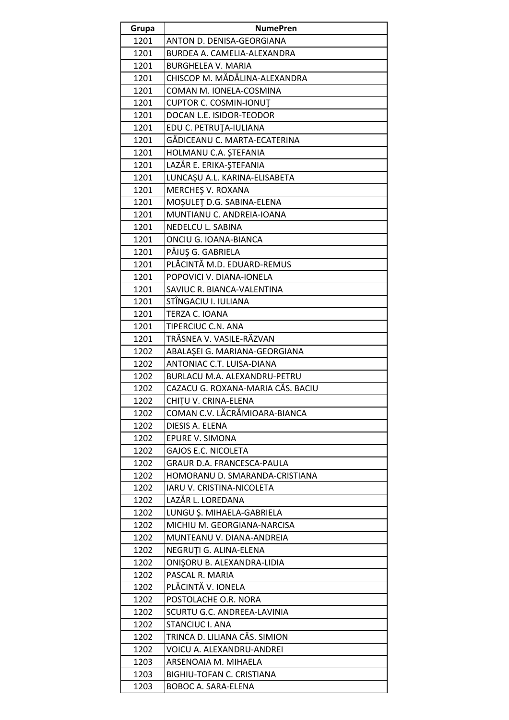| Grupa        | <b>NumePren</b>                                                   |
|--------------|-------------------------------------------------------------------|
| 1201         | ANTON D. DENISA-GEORGIANA                                         |
| 1201         | BURDEA A. CAMELIA-ALEXANDRA                                       |
| 1201         | <b>BURGHELEA V. MARIA</b>                                         |
| 1201         | CHISCOP M. MĂDĂLINA-ALEXANDRA                                     |
| 1201         | COMAN M. IONELA-COSMINA                                           |
| 1201         | <b>CUPTOR C. COSMIN-IONUT</b>                                     |
| 1201         | DOCAN L.E. ISIDOR-TEODOR                                          |
| 1201         | EDU C. PETRUȚA-IULIANA                                            |
| 1201         | GĂDICEANU C. MARTA-ECATERINA                                      |
| 1201         | HOLMANU C.A. ȘTEFANIA                                             |
| 1201         | LAZĂR E. ERIKA-ȘTEFANIA                                           |
| 1201         | LUNCAŞU A.L. KARINA-ELISABETA                                     |
| 1201         | MERCHES V. ROXANA                                                 |
| 1201         | MOŞULET D.G. SABINA-ELENA                                         |
| 1201         | MUNTIANU C. ANDREIA-IOANA                                         |
| 1201         | NEDELCU L. SABINA                                                 |
| 1201         | ONCIU G. IOANA-BIANCA                                             |
| 1201         | PĂIUȘ G. GABRIELA                                                 |
| 1201         | PLĂCINTĂ M.D. EDUARD-REMUS                                        |
| 1201         | POPOVICI V. DIANA-IONELA                                          |
| 1201         | SAVIUC R. BIANCA-VALENTINA                                        |
| 1201         | STÎNGACIU I. IULIANA                                              |
| 1201         | TERZA C. IOANA                                                    |
| 1201         | TIPERCIUC C.N. ANA                                                |
| 1201         | TRĂSNEA V. VASILE-RĂZVAN                                          |
| 1202         | ABALAŞEI G. MARIANA-GEORGIANA                                     |
| 1202         | ANTONIAC C.T. LUISA-DIANA                                         |
| 1202<br>1202 | BURLACU M.A. ALEXANDRU-PETRU<br>CAZACU G. ROXANA-MARIA CĂS. BACIU |
|              |                                                                   |
| 1202<br>1202 | CHITU V. CRINA-ELENA<br>COMAN C.V. LĂCRĂMIOARA-BIANCA             |
| 1202         | DIESIS A. ELENA                                                   |
| 1202         | <b>EPURE V. SIMONA</b>                                            |
| 1202         | <b>GAJOS E.C. NICOLETA</b>                                        |
| 1202         | GRAUR D.A. FRANCESCA-PAULA                                        |
| 1202         | HOMORANU D. SMARANDA-CRISTIANA                                    |
| 1202         | IARU V. CRISTINA-NICOLETA                                         |
| 1202         | LAZĂR L. LOREDANA                                                 |
| 1202         | LUNGU Ş. MIHAELA-GABRIELA                                         |
| 1202         | MICHIU M. GEORGIANA-NARCISA                                       |
| 1202         | MUNTEANU V. DIANA-ANDREIA                                         |
| 1202         | NEGRUȚI G. ALINA-ELENA                                            |
| 1202         | ONIŞORU B. ALEXANDRA-LIDIA                                        |
| 1202         | PASCAL R. MARIA                                                   |
| 1202         | PLĂCINTĂ V. IONELA                                                |
| 1202         | POSTOLACHE O.R. NORA                                              |
| 1202         | SCURTU G.C. ANDREEA-LAVINIA                                       |
| 1202         | <b>STANCIUC I. ANA</b>                                            |
| 1202         | TRINCA D. LILIANA CĂS. SIMION                                     |
| 1202         | VOICU A. ALEXANDRU-ANDREI                                         |
| 1203         | ARSENOAIA M. MIHAELA                                              |
| 1203         | BIGHIU-TOFAN C. CRISTIANA                                         |
| 1203         | BOBOC A. SARA-ELENA                                               |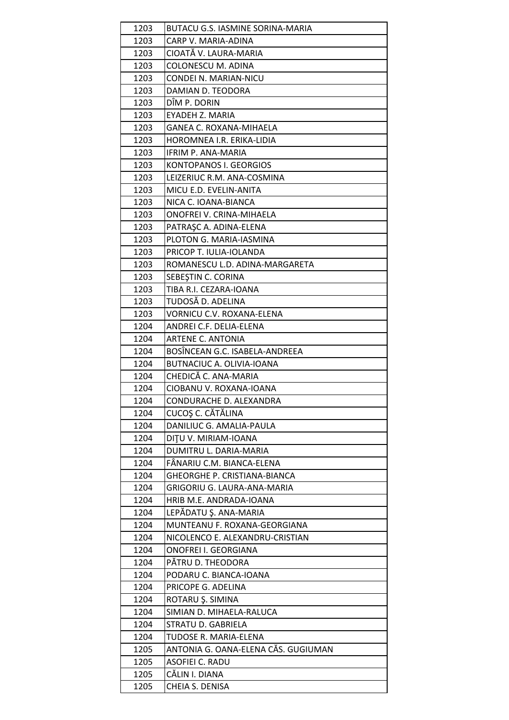| 1203         | BUTACU G.S. IASMINE SORINA-MARIA             |
|--------------|----------------------------------------------|
| 1203         | CARP V. MARIA-ADINA                          |
| 1203         | CIOATĂ V. LAURA-MARIA                        |
| 1203         | COLONESCU M. ADINA                           |
| 1203         | CONDEI N. MARIAN-NICU                        |
| 1203         | DAMIAN D. TEODORA                            |
| 1203         | DÎM P. DORIN                                 |
| 1203         | <b>EYADEH Z. MARIA</b>                       |
| 1203         | <b>GANEA C. ROXANA-MIHAELA</b>               |
| 1203         | HOROMNEA I.R. ERIKA-LIDIA                    |
| 1203         | IFRIM P. ANA-MARIA                           |
| 1203         | KONTOPANOS I. GEORGIOS                       |
| 1203         | LEIZERIUC R.M. ANA-COSMINA                   |
| 1203         | MICU E.D. EVELIN-ANITA                       |
| 1203         | NICA C. IOANA-BIANCA                         |
| 1203         | ONOFREI V. CRINA-MIHAELA                     |
| 1203         | PATRAȘC A. ADINA-ELENA                       |
| 1203         | PLOTON G. MARIA-IASMINA                      |
| 1203         | PRICOP T. IULIA-IOLANDA                      |
| 1203         | ROMANESCU L.D. ADINA-MARGARETA               |
| 1203         | SEBESTIN C. CORINA                           |
| 1203         | TIBA R.I. CEZARA-IOANA                       |
| 1203         | TUDOSĂ D. ADELINA                            |
| 1203         | VORNICU C.V. ROXANA-ELENA                    |
| 1204         | ANDREI C.F. DELIA-ELENA                      |
| 1204         | ARTENE C. ANTONIA                            |
| 1204         | BOSINCEAN G.C. ISABELA-ANDREEA               |
| 1204         | <b>BUTNACIUC A. OLIVIA-IOANA</b>             |
| 1204         | CHEDICĂ C. ANA-MARIA                         |
| 1204         | CIOBANU V. ROXANA-IOANA                      |
| 1204         | CONDURACHE D. ALEXANDRA                      |
| 1204         | CUCOȘ C. CĂTĂLINA                            |
| 1204         | DANILIUC G. AMALIA-PAULA                     |
| 1204         | DITU V. MIRIAM-IOANA                         |
| 1204         | DUMITRU L. DARIA-MARIA                       |
| 1204         | FÂNARIU C.M. BIANCA-ELENA                    |
| 1204         | GHEORGHE P. CRISTIANA-BIANCA                 |
| 1204         | GRIGORIU G. LAURA-ANA-MARIA                  |
| 1204         | HRIB M.E. ANDRADA-IOANA                      |
| 1204         | LEPĂDATU Ș. ANA-MARIA                        |
| 1204         | MUNTEANU F. ROXANA-GEORGIANA                 |
| 1204         | NICOLENCO E. ALEXANDRU-CRISTIAN              |
| 1204         | ONOFREI I. GEORGIANA                         |
| 1204         | PĂTRU D. THEODORA                            |
| 1204         | PODARU C. BIANCA-IOANA                       |
| 1204         | PRICOPE G. ADELINA                           |
| 1204         | ROTARU Ș. SIMINA<br>SIMIAN D. MIHAELA-RALUCA |
| 1204<br>1204 | STRATU D. GABRIELA                           |
| 1204         | TUDOSE R. MARIA-ELENA                        |
| 1205         | ANTONIA G. OANA-ELENA CĂS. GUGIUMAN          |
| 1205         | ASOFIEI C. RADU                              |
| 1205         | CĂLIN I. DIANA                               |
| 1205         | CHEIA S. DENISA                              |
|              |                                              |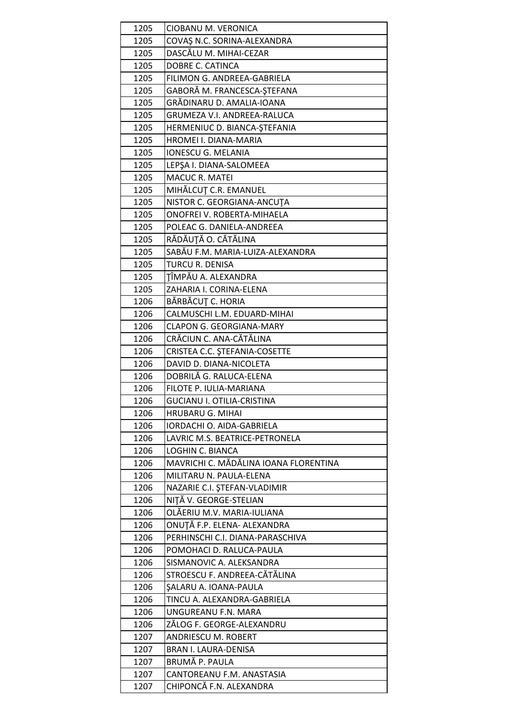| 1205         | CIOBANU M. VERONICA                    |
|--------------|----------------------------------------|
| 1205         | COVAŞ N.C. SORINA-ALEXANDRA            |
| 1205         | DASCĂLU M. MIHAI-CEZAR                 |
| 1205         | DOBRE C. CATINCA                       |
| 1205         | FILIMON G. ANDREEA-GABRIELA            |
| 1205         | GABORĂ M. FRANCESCA-ȘTEFANA            |
| 1205         | GRĂDINARU D. AMALIA-IOANA              |
| 1205         | <b>GRUMEZA V.I. ANDREEA-RALUCA</b>     |
| 1205         | HERMENIUC D. BIANCA-ȘTEFANIA           |
| 1205         | HROMEI I. DIANA-MARIA                  |
| 1205         | <b>IONESCU G. MELANIA</b>              |
| 1205         | LEPŞA I. DIANA-SALOMEEA                |
| 1205         | <b>MACUC R. MATEI</b>                  |
| 1205         | MIHĂLCUȚ C.R. EMANUEL                  |
| 1205         | NISTOR C. GEORGIANA-ANCUTA             |
| 1205         | ONOFREI V. ROBERTA-MIHAELA             |
| 1205         | POLEAC G. DANIELA-ANDREEA              |
| 1205         | RĂDĂUȚĂ O. CĂTĂLINA                    |
| 1205         | SABĂU F.M. MARIA-LUIZA-ALEXANDRA       |
| 1205         | TURCU R. DENISA                        |
| 1205         | TÎMPĂU A. ALEXANDRA                    |
| 1205         | ZAHARIA I. CORINA-ELENA                |
| 1206         | BĂRBĂCUȚ C. HORIA                      |
| 1206         | CALMUSCHI L.M. EDUARD-MIHAI            |
| 1206         | <b>CLAPON G. GEORGIANA-MARY</b>        |
| 1206         | CRĂCIUN C. ANA-CĂTĂLINA                |
| 1206         | CRISTEA C.C. ȘTEFANIA-COSETTE          |
| 1206         | DAVID D. DIANA-NICOLETA                |
| 1206         | DOBRILĂ G. RALUCA-ELENA                |
| 1206         | FILOTE P. IULIA-MARIANA                |
| 1206         | <b>GUCIANU I. OTILIA-CRISTINA</b>      |
| 1206         | <b>HRUBARU G. MIHAI</b>                |
| 1206         | IORDACHI O. AIDA-GABRIELA              |
| 1206         | LAVRIC M.S. BEATRICE-PETRONELA         |
| 1206         | LOGHIN C. BIANCA                       |
| 1206         | MAVRICHI C. MĂDĂLINA IOANA FLORENTINA  |
| 1206         | MILITARU N. PAULA-ELENA                |
| 1206         | NAZARIE C.I. ȘTEFAN-VLADIMIR           |
| 1206         | NITĂ V. GEORGE-STELIAN                 |
| 1206         | OLĂERIU M.V. MARIA-IULIANA             |
| 1206         | ONUȚĂ F.P. ELENA- ALEXANDRA            |
| 1206         | PERHINSCHI C.I. DIANA-PARASCHIVA       |
| 1206         | POMOHACI D. RALUCA-PAULA               |
| 1206         | SISMANOVIC A. ALEKSANDRA               |
| 1206         | STROESCU F. ANDREEA-CĂTĂLINA           |
| 1206         | SALARU A. IOANA-PAULA                  |
| 1206         | TINCU A. ALEXANDRA-GABRIELA            |
| 1206         | UNGUREANU F.N. MARA                    |
| 1206         | ZĂLOG F. GEORGE-ALEXANDRU              |
| 1207<br>1207 | <b>ANDRIESCU M. ROBERT</b>             |
| 1207         | BRAN I. LAURA-DENISA<br>BRUMĂ P. PAULA |
| 1207         | CANTOREANU F.M. ANASTASIA              |
|              |                                        |
| 1207         | CHIPONCĂ F.N. ALEXANDRA                |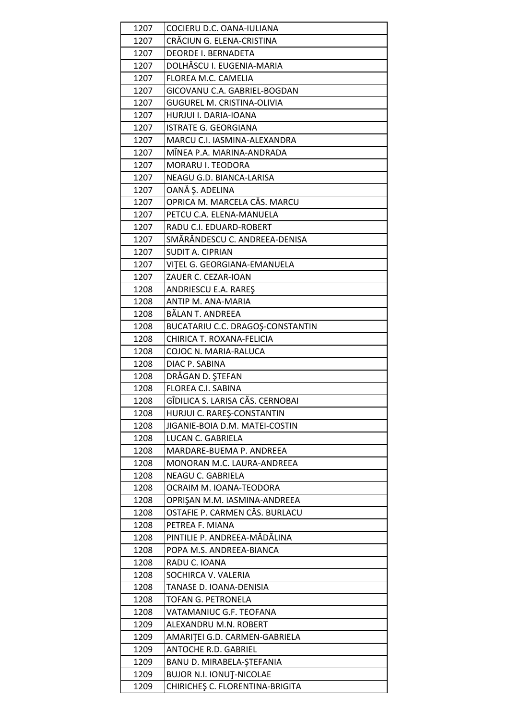| 1207         | COCIERU D.C. OANA-IULIANA                               |
|--------------|---------------------------------------------------------|
| 1207         | CRĂCIUN G. ELENA-CRISTINA                               |
| 1207         | <b>DEORDE I. BERNADETA</b>                              |
| 1207         | DOLHĂSCU I. EUGENIA-MARIA                               |
| 1207         | FLOREA M.C. CAMELIA                                     |
| 1207         | GICOVANU C.A. GABRIEL-BOGDAN                            |
| 1207         | <b>GUGUREL M. CRISTINA-OLIVIA</b>                       |
| 1207         | HURJUI I. DARIA-IOANA                                   |
| 1207         | <b>ISTRATE G. GEORGIANA</b>                             |
| 1207         | MARCU C.I. IASMINA-ALEXANDRA                            |
| 1207         | MÎNEA P.A. MARINA-ANDRADA                               |
| 1207         | MORARU I. TEODORA                                       |
| 1207         | NEAGU G.D. BIANCA-LARISA                                |
| 1207         | OANĂ Ș. ADELINA                                         |
| 1207         | OPRICA M. MARCELA CĂS. MARCU                            |
| 1207         | PETCU C.A. ELENA-MANUELA                                |
| 1207         | RADU C.I. EDUARD-ROBERT                                 |
| 1207         | SMĂRĂNDESCU C. ANDREEA-DENISA                           |
| 1207         | SUDIT A. CIPRIAN                                        |
| 1207         | VITEL G. GEORGIANA-EMANUELA                             |
| 1207         | ZAUER C. CEZAR-IOAN                                     |
| 1208         | ANDRIESCU E.A. RAREŞ                                    |
| 1208         | ANTIP M. ANA-MARIA                                      |
| 1208         | BĂLAN T. ANDREEA                                        |
| 1208         | BUCATARIU C.C. DRAGOȘ-CONSTANTIN                        |
| 1208         | CHIRICA T. ROXANA-FELICIA                               |
| 1208         | COJOC N. MARIA-RALUCA                                   |
| 1208         | DIAC P. SABINA                                          |
| 1208         | DRĂGAN D. ȘTEFAN                                        |
| 1208         | FLOREA C.I. SABINA                                      |
| 1208         | GÎDILICA S. LARISA CĂS. CERNOBAI                        |
| 1208         | HURJUI C. RAREŞ-CONSTANTIN                              |
| 1208         | JIGANIE-BOIA D.M. MATEI-COSTIN                          |
| 1208         | LUCAN C. GABRIELA                                       |
| 1208         | MARDARE-BUEMA P. ANDREEA                                |
| 1208         | MONORAN M.C. LAURA-ANDREEA                              |
| 1208         | <b>NEAGU C. GABRIELA</b>                                |
| 1208<br>1208 | OCRAIM M. IOANA-TEODORA<br>OPRISAN M.M. IASMINA-ANDREEA |
|              |                                                         |
| 1208         | OSTAFIE P. CARMEN CĂS. BURLACU<br>PETREA F. MIANA       |
| 1208<br>1208 | PINTILIE P. ANDREEA-MĂDĂLINA                            |
| 1208         | POPA M.S. ANDREEA-BIANCA                                |
| 1208         | RADU C. IOANA                                           |
| 1208         | SOCHIRCA V. VALERIA                                     |
| 1208         | TANASE D. IOANA-DENISIA                                 |
| 1208         | TOFAN G. PETRONELA                                      |
| 1208         | VATAMANIUC G.F. TEOFANA                                 |
| 1209         | ALEXANDRU M.N. ROBERT                                   |
| 1209         | AMARITEI G.D. CARMEN-GABRIELA                           |
| 1209         | ANTOCHE R.D. GABRIEL                                    |
| 1209         | BANU D. MIRABELA-ŞTEFANIA                               |
| 1209         | <b>BUJOR N.I. IONUȚ-NICOLAE</b>                         |
| 1209         | CHIRICHES C. FLORENTINA-BRIGITA                         |
|              |                                                         |